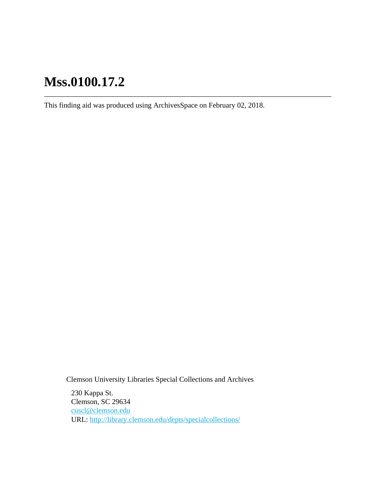This finding aid was produced using ArchivesSpace on February 02, 2018.

Clemson University Libraries Special Collections and Archives

230 Kappa St. Clemson, SC 29634 [cuscl@clemson.edu](mailto:cuscl@clemson.edu) URL:<http://library.clemson.edu/depts/specialcollections/>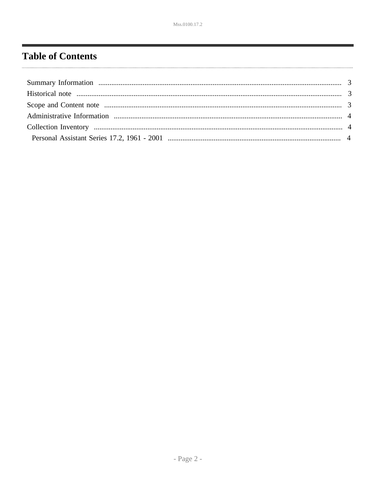## <span id="page-1-0"></span>**Table of Contents**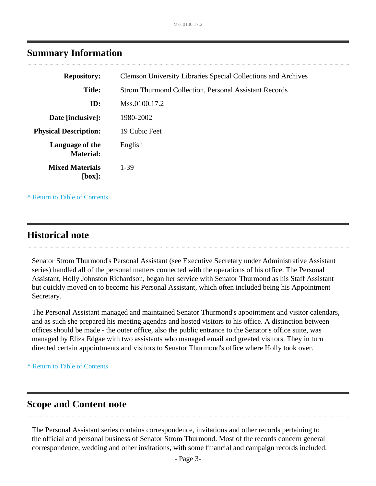| <b>Repository:</b>                  | <b>Clemson University Libraries Special Collections and Archives</b> |
|-------------------------------------|----------------------------------------------------------------------|
| <b>Title:</b>                       | <b>Strom Thurmond Collection, Personal Assistant Records</b>         |
| ID:                                 | Mss.0100.17.2                                                        |
| Date [inclusive]:                   | 1980-2002                                                            |
| <b>Physical Description:</b>        | 19 Cubic Feet                                                        |
| Language of the<br><b>Material:</b> | English                                                              |
| <b>Mixed Materials</b><br>[box]:    | $1 - 39$                                                             |

### <span id="page-2-0"></span>**Summary Information**

**^** [Return to Table of Contents](#page-1-0)

#### <span id="page-2-1"></span>**Historical note**

Senator Strom Thurmond's Personal Assistant (see Executive Secretary under Administrative Assistant series) handled all of the personal matters connected with the operations of his office. The Personal Assistant, Holly Johnston Richardson, began her service with Senator Thurmond as his Staff Assistant but quickly moved on to become his Personal Assistant, which often included being his Appointment Secretary.

The Personal Assistant managed and maintained Senator Thurmond's appointment and visitor calendars, and as such she prepared his meeting agendas and hosted visitors to his office. A distinction between offices should be made - the outer office, also the public entrance to the Senator's office suite, was managed by Eliza Edgae with two assistants who managed email and greeted visitors. They in turn directed certain appointments and visitors to Senator Thurmond's office where Holly took over.

**^** [Return to Table of Contents](#page-1-0)

### <span id="page-2-2"></span>**Scope and Content note**

The Personal Assistant series contains correspondence, invitations and other records pertaining to the official and personal business of Senator Strom Thurmond. Most of the records concern general correspondence, wedding and other invitations, with some financial and campaign records included.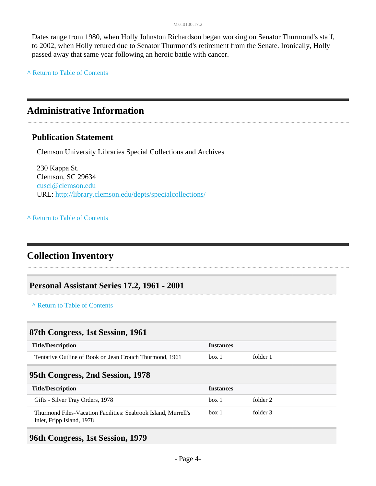Dates range from 1980, when Holly Johnston Richardson began working on Senator Thurmond's staff, to 2002, when Holly retured due to Senator Thurmond's retirement from the Senate. Ironically, Holly passed away that same year following an heroic battle with cancer.

**^** [Return to Table of Contents](#page-1-0)

### <span id="page-3-0"></span>**Administrative Information**

#### **Publication Statement**

Clemson University Libraries Special Collections and Archives

230 Kappa St. Clemson, SC 29634 [cuscl@clemson.edu](mailto:cuscl@clemson.edu) URL:<http://library.clemson.edu/depts/specialcollections/>

**^** [Return to Table of Contents](#page-1-0)

### <span id="page-3-1"></span>**Collection Inventory**

<span id="page-3-2"></span>**Personal Assistant Series 17.2, 1961 - 2001**

**^** [Return to Table of Contents](#page-1-0)

#### **87th Congress, 1st Session, 1961**

| <b>Title/Description</b>                                | Instances |          |
|---------------------------------------------------------|-----------|----------|
| Tentative Outline of Book on Jean Crouch Thurmond, 1961 | box 1     | folder 1 |

#### **95th Congress, 2nd Session, 1978**

| <b>Title/Description</b>                                                                    | <i><u><b>Instances</b></u></i> |          |
|---------------------------------------------------------------------------------------------|--------------------------------|----------|
| Gifts - Silver Tray Orders, 1978                                                            | box 1                          | folder 2 |
| Thurmond Files-Vacation Facilities: Seabrook Island, Murrell's<br>Inlet, Fripp Island, 1978 | box 1                          | folder 3 |

#### **96th Congress, 1st Session, 1979**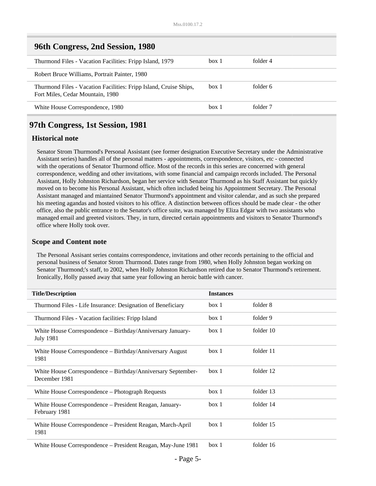| 96th Congress, 2nd Session, 1980                                                                      |       |          |
|-------------------------------------------------------------------------------------------------------|-------|----------|
| Thurmond Files - Vacation Facilities: Fripp Island, 1979                                              | box 1 | folder 4 |
| Robert Bruce Williams, Portrait Painter, 1980                                                         |       |          |
| Thurmond Files - Vacation Facilities: Fripp Island, Cruise Ships,<br>Fort Miles, Cedar Mountain, 1980 | box 1 | folder 6 |
| White House Correspondence, 1980                                                                      | box 1 | folder 7 |

#### **Historical note**

Senator Strom Thurmond's Personal Assistant (see former designation Executive Secretary under the Administrative Assistant series) handles all of the personal matters - appointments, correspondence, visitors, etc - connected with the operations of Senator Thurmond office. Most of the records in this series are concerned with general correspondence, wedding and other invitations, with some financial and campaign records included. The Personal Assistant, Holly Johnston Richardson, began her service with Senator Thurmond as his Staff Assistant but quickly moved on to become his Personal Assistant, which often included being his Appointment Secretary. The Personal Assistant managed and miantained Senator Thurmond's appointment and visitor calendar, and as such she prepared his meeting agandas and hosted visitors to his office. A distinction between offices should be made clear - the other office, also the public entrance to the Senator's office suite, was managed by Eliza Edgar with two assistants who managed email and greeted visitors. They, in turn, directed certain appointments and visitors to Senator Thurmond's office where Holly took over.

#### **Scope and Content note**

The Personal Assisant series contains correspondence, invitations and other records pertaining to the official and personal business of Senator Strom Thurmond. Dates range from 1980, when Holly Johnston began working on Senator Thurmond;'s staff, to 2002, when Holly Johnston Richardson retired due to Senator Thurmond's retirement. Ironically, Holly passed away that same year following an heroic battle with cancer.

| <b>Title/Description</b>                                                       | <b>Instances</b> |           |  |
|--------------------------------------------------------------------------------|------------------|-----------|--|
| Thurmond Files - Life Insurance: Designation of Beneficiary                    | box 1            | folder 8  |  |
| Thurmond Files - Vacation facilities: Fripp Island                             | box 1            | folder 9  |  |
| White House Correspondence - Birthday/Anniversary January-<br><b>July 1981</b> | box 1            | folder 10 |  |
| White House Correspondence – Birthday/Anniversary August<br>1981               | box 1            | folder 11 |  |
| White House Correspondence – Birthday/Anniversary September-<br>December 1981  | box 1            | folder 12 |  |
| White House Correspondence – Photograph Requests                               | box 1            | folder 13 |  |
| White House Correspondence – President Reagan, January-<br>February 1981       | box 1            | folder 14 |  |
| White House Correspondence – President Reagan, March-April<br>1981             | box 1            | folder 15 |  |
| White House Correspondence – President Reagan, May-June 1981                   | box 1            | folder 16 |  |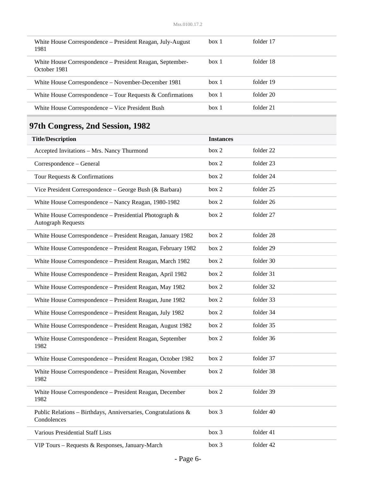| White House Correspondence – President Reagan, July-August<br>1981        | box 1 | folder 17 |
|---------------------------------------------------------------------------|-------|-----------|
| White House Correspondence – President Reagan, September-<br>October 1981 | box 1 | folder 18 |
| White House Correspondence – November-December 1981                       | box 1 | folder 19 |
| White House Correspondence – Tour Requests $&$ Confirmations              | box 1 | folder 20 |
| White House Correspondence – Vice President Bush                          | box 1 | folder 21 |

# **97th Congress, 2nd Session, 1982**

| <b>Title/Description</b>                                                            | <b>Instances</b> |           |  |
|-------------------------------------------------------------------------------------|------------------|-----------|--|
| Accepted Invitations - Mrs. Nancy Thurmond                                          | box 2            | folder 22 |  |
| Correspondence - General                                                            | box 2            | folder 23 |  |
| Tour Requests & Confirmations                                                       | box 2            | folder 24 |  |
| Vice President Correspondence - George Bush (& Barbara)                             | box 2            | folder 25 |  |
| White House Correspondence - Nancy Reagan, 1980-1982                                | box 2            | folder 26 |  |
| White House Correspondence - Presidential Photograph &<br><b>Autograph Requests</b> | box 2            | folder 27 |  |
| White House Correspondence - President Reagan, January 1982                         | box 2            | folder 28 |  |
| White House Correspondence - President Reagan, February 1982                        | box 2            | folder 29 |  |
| White House Correspondence - President Reagan, March 1982                           | box 2            | folder 30 |  |
| White House Correspondence - President Reagan, April 1982                           | box 2            | folder 31 |  |
| White House Correspondence - President Reagan, May 1982                             | box 2            | folder 32 |  |
| White House Correspondence - President Reagan, June 1982                            | box 2            | folder 33 |  |
| White House Correspondence - President Reagan, July 1982                            | box 2            | folder 34 |  |
| White House Correspondence - President Reagan, August 1982                          | box 2            | folder 35 |  |
| White House Correspondence - President Reagan, September<br>1982                    | box 2            | folder 36 |  |
| White House Correspondence - President Reagan, October 1982                         | box 2            | folder 37 |  |
| White House Correspondence - President Reagan, November<br>1982                     | box 2            | folder 38 |  |
| White House Correspondence - President Reagan, December<br>1982                     | box 2            | folder 39 |  |
| Public Relations - Birthdays, Anniversaries, Congratulations &<br>Condolences       | box 3            | folder 40 |  |
| <b>Various Presidential Staff Lists</b>                                             | box 3            | folder 41 |  |
| VIP Tours - Requests & Responses, January-March                                     | box 3            | folder 42 |  |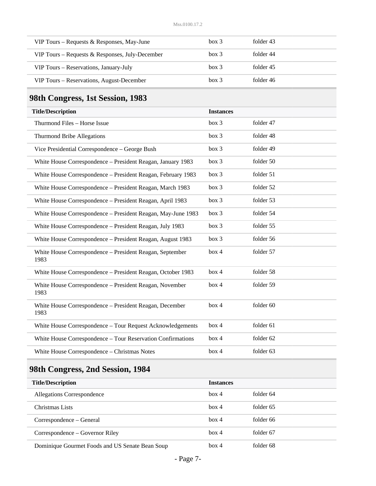| VIP Tours – Requests & Responses, May-June      | box 3 | folder 43 |
|-------------------------------------------------|-------|-----------|
| VIP Tours – Requests & Responses, July-December | box 3 | folder 44 |
| VIP Tours – Reservations, January-July          | box 3 | folder 45 |
| VIP Tours – Reservations, August-December       | box 3 | folder 46 |

| <b>Title/Description</b>                                         | <b>Instances</b> |           |
|------------------------------------------------------------------|------------------|-----------|
| Thurmond Files - Horse Issue                                     | box 3            | folder 47 |
| <b>Thurmond Bribe Allegations</b>                                | box 3            | folder 48 |
| Vice Presidential Correspondence - George Bush                   | box 3            | folder 49 |
| White House Correspondence - President Reagan, January 1983      | box 3            | folder 50 |
| White House Correspondence - President Reagan, February 1983     | box 3            | folder 51 |
| White House Correspondence - President Reagan, March 1983        | box 3            | folder 52 |
| White House Correspondence - President Reagan, April 1983        | box 3            | folder 53 |
| White House Correspondence - President Reagan, May-June 1983     | box 3            | folder 54 |
| White House Correspondence - President Reagan, July 1983         | box 3            | folder 55 |
| White House Correspondence - President Reagan, August 1983       | box 3            | folder 56 |
| White House Correspondence - President Reagan, September<br>1983 | box 4            | folder 57 |
| White House Correspondence - President Reagan, October 1983      | box 4            | folder 58 |
| White House Correspondence - President Reagan, November<br>1983  | box 4            | folder 59 |
| White House Correspondence - President Reagan, December<br>1983  | box 4            | folder 60 |
| White House Correspondence - Tour Request Acknowledgements       | box 4            | folder 61 |
| White House Correspondence - Tour Reservation Confirmations      | box 4            | folder 62 |
| White House Correspondence - Christmas Notes                     | box 4            | folder 63 |

# **98th Congress, 2nd Session, 1984**

| <b>Title/Description</b>                        | <b>Instances</b> |           |
|-------------------------------------------------|------------------|-----------|
| Allegations Correspondence                      | box 4            | folder 64 |
| Christmas Lists                                 | box 4            | folder 65 |
| Correspondence – General                        | box 4            | folder 66 |
| Correspondence – Governor Riley                 | box 4            | folder 67 |
| Dominique Gourmet Foods and US Senate Bean Soup | box 4            | folder 68 |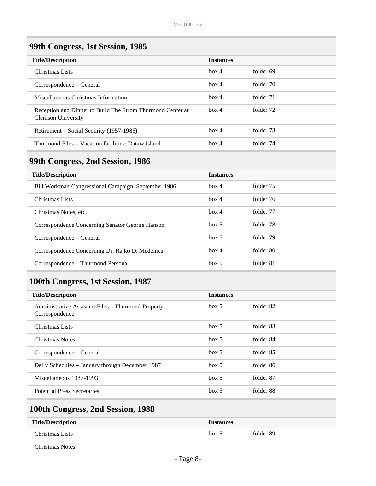| <b>Title/Description</b>                                                                | <b>Instances</b> |           |
|-----------------------------------------------------------------------------------------|------------------|-----------|
| Christmas Lists                                                                         | box 4            | folder 69 |
| Correspondence – General                                                                | $h$ ox 4         | folder 70 |
| Miscellaneous Christmas Information                                                     | box 4            | folder 71 |
| Reception and Dinner to Build The Strom Thurmond Center at<br><b>Clemson University</b> | box 4            | folder 72 |
| Retirement – Social Security (1957-1985)                                                | box 4            | folder 73 |
| Thurmond Files – Vacation facilities: Dataw Island                                      | $h$ ox 4         | folder 74 |

### **99th Congress, 2nd Session, 1986**

| <b>Title/Description</b>                            | <b>Instances</b> |           |
|-----------------------------------------------------|------------------|-----------|
| Bill Workman Congressional Campaign, September 1986 | box 4            | folder 75 |
| Christmas Lists                                     | box 4            | folder 76 |
| Christmas Notes, etc.                               | box 4            | folder 77 |
| Correspondence Concerning Senator George Hanson     | box~5            | folder 78 |
| Correspondence – General                            | box~5            | folder 79 |
| Correspondence Concerning Dr. Rajko D. Medenica     | box 4            | folder 80 |
| Correspondence – Thurmond Personal                  | box 5            | folder 81 |

## **100th Congress, 1st Session, 1987**

| <b>Title/Description</b>                                             | <b>Instances</b> |           |
|----------------------------------------------------------------------|------------------|-----------|
| Administrative Assistant Files – Thurmond Property<br>Correspondence | box~5            | folder 82 |
| Christmas Lists                                                      | box~5            | folder 83 |
| <b>Christmas Notes</b>                                               | box~5            | folder 84 |
| Correspondence – General                                             | box 5            | folder 85 |
| Daily Schedules – January through December 1987                      | box~5            | folder 86 |
| Miscellaneous 1987-1993                                              | box 5            | folder 87 |
| <b>Potential Press Secretaries</b>                                   | box~5            | folder 88 |

## **100th Congress, 2nd Session, 1988**

| <b>Title/Description</b> | <i><u><b>Instances</b></u></i> |           |
|--------------------------|--------------------------------|-----------|
| Christmas Lists          | hox                            | folder 89 |

Christmas Notes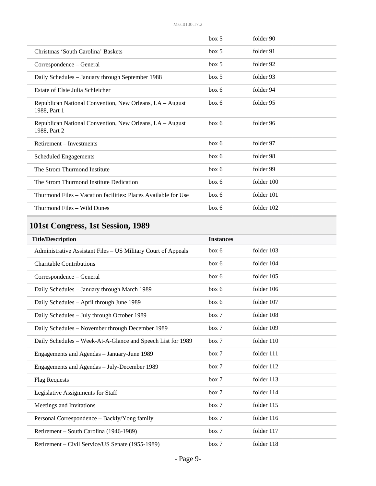|                                                                          | box~5 | folder 90  |
|--------------------------------------------------------------------------|-------|------------|
| Christmas 'South Carolina' Baskets                                       | box 5 | folder 91  |
| Correspondence – General                                                 | box~5 | folder 92  |
| Daily Schedules - January through September 1988                         | box~5 | folder 93  |
| Estate of Elsie Julia Schleicher                                         | box 6 | folder 94  |
| Republican National Convention, New Orleans, LA – August<br>1988, Part 1 | box 6 | folder 95  |
| Republican National Convention, New Orleans, LA - August<br>1988, Part 2 | box 6 | folder 96  |
| Retirement – Investments                                                 | box 6 | folder 97  |
| <b>Scheduled Engagements</b>                                             | box 6 | folder 98  |
| The Strom Thurmond Institute                                             | box 6 | folder 99  |
| The Strom Thurmond Institute Dedication                                  | box 6 | folder 100 |
| Thurmond Files – Vacation facilities: Places Available for Use           | box 6 | folder 101 |
| Thurmond Files - Wild Dunes                                              | box 6 | folder 102 |

| <b>Title/Description</b>                                      | <b>Instances</b> |            |
|---------------------------------------------------------------|------------------|------------|
| Administrative Assistant Files - US Military Court of Appeals | box 6            | folder 103 |
| <b>Charitable Contributions</b>                               | box 6            | folder 104 |
| Correspondence - General                                      | box 6            | folder 105 |
| Daily Schedules - January through March 1989                  | box 6            | folder 106 |
| Daily Schedules - April through June 1989                     | box 6            | folder 107 |
| Daily Schedules - July through October 1989                   | box 7            | folder 108 |
| Daily Schedules - November through December 1989              | box 7            | folder 109 |
| Daily Schedules - Week-At-A-Glance and Speech List for 1989   | box 7            | folder 110 |
| Engagements and Agendas - January-June 1989                   | box 7            | folder 111 |
| Engagements and Agendas - July-December 1989                  | box 7            | folder 112 |
| <b>Flag Requests</b>                                          | box 7            | folder 113 |
| Legislative Assignments for Staff                             | box 7            | folder 114 |
| Meetings and Invitations                                      | box 7            | folder 115 |
| Personal Correspondence - Backly/Yong family                  | box 7            | folder 116 |
| Retirement - South Carolina (1946-1989)                       | box 7            | folder 117 |
| Retirement – Civil Service/US Senate (1955-1989)              | box 7            | folder 118 |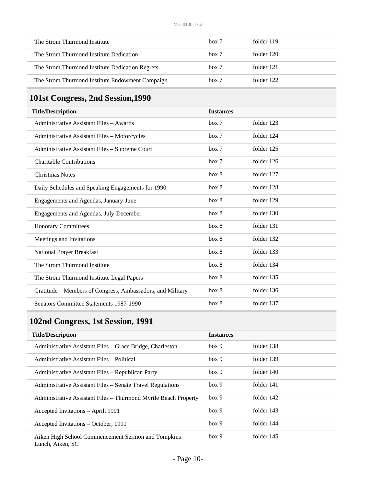| The Strom Thurmond Institute                    | box 7 | folder 119 |
|-------------------------------------------------|-------|------------|
| The Strom Thurmond Institute Dedication         | box 7 | folder 120 |
| The Strom Thurmond Institute Dedication Regrets | box 7 | folder 121 |
| The Strom Thurmond Institute Endowment Campaign | box 7 | folder 122 |

## **101st Congress, 2nd Session,1990**

| <b>Title/Description</b>                                   | <b>Instances</b> |            |
|------------------------------------------------------------|------------------|------------|
| Administrative Assistant Files – Awards                    | box 7            | folder 123 |
| Administrative Assistant Files - Motorcycles               | box 7            | folder 124 |
| Administrative Assistant Files - Supreme Court             | box 7            | folder 125 |
| <b>Charitable Contributions</b>                            | box 7            | folder 126 |
| <b>Christmas Notes</b>                                     | box 8            | folder 127 |
| Daily Schedules and Speaking Engagements for 1990          | box 8            | folder 128 |
| Engagements and Agendas, January-June                      | box 8            | folder 129 |
| Engagements and Agendas, July-December                     | box 8            | folder 130 |
| <b>Honorary Committees</b>                                 | box 8            | folder 131 |
| Meetings and Invitations                                   | box 8            | folder 132 |
| National Prayer Breakfast                                  | box 8            | folder 133 |
| The Strom Thurmond Institute                               | box 8            | folder 134 |
| The Strom Thurmond Institute Legal Papers                  | box 8            | folder 135 |
| Gratitude – Members of Congress, Ambassadors, and Military | box 8            | folder 136 |
| Senators Committee Statements 1987-1990                    | box 8            | folder 137 |

## **102nd Congress, 1st Session, 1991**

| <b>Title/Description</b>                                        | <b>Instances</b> |            |
|-----------------------------------------------------------------|------------------|------------|
| Administrative Assistant Files - Grace Bridge, Charleston       | box 9            | folder 138 |
| Administrative Assistant Files – Political                      | box 9            | folder 139 |
| Administrative Assistant Files – Republican Party               | box 9            | folder 140 |
| Administrative Assistant Files – Senate Travel Regulations      | box 9            | folder 141 |
| Administrative Assistant Files - Thurmond Myrtle Beach Property | box 9            | folder 142 |
| Accepted Invitations – April, 1991                              | box 9            | folder 143 |
| Accepted Invitations – October, 1991                            | box 9            | folder 144 |
| Aiken High School Commencement Sermon and Tompkins              | box 9            | folder 145 |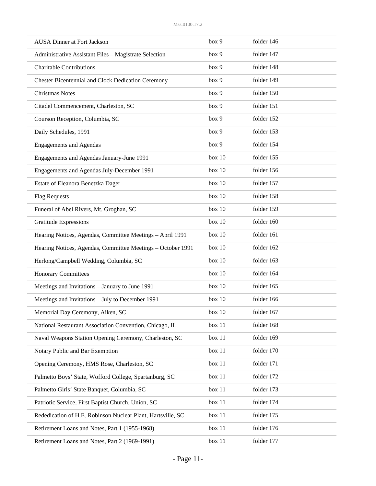| <b>AUSA Dinner at Fort Jackson</b>                          | box 9  | folder 146 |
|-------------------------------------------------------------|--------|------------|
| Administrative Assistant Files - Magistrate Selection       | box 9  | folder 147 |
| <b>Charitable Contributions</b>                             | box 9  | folder 148 |
| <b>Chester Bicentennial and Clock Dedication Ceremony</b>   | box 9  | folder 149 |
| <b>Christmas Notes</b>                                      | box 9  | folder 150 |
| Citadel Commencement, Charleston, SC                        | box 9  | folder 151 |
| Courson Reception, Columbia, SC                             | box 9  | folder 152 |
| Daily Schedules, 1991                                       | box 9  | folder 153 |
| <b>Engagements and Agendas</b>                              | box 9  | folder 154 |
| Engagements and Agendas January-June 1991                   | box 10 | folder 155 |
| Engagements and Agendas July-December 1991                  | box 10 | folder 156 |
| Estate of Eleanora Benetzka Dager                           | box 10 | folder 157 |
| <b>Flag Requests</b>                                        | box 10 | folder 158 |
| Funeral of Abel Rivers, Mt. Groghan, SC                     | box 10 | folder 159 |
| <b>Gratitude Expressions</b>                                | box 10 | folder 160 |
| Hearing Notices, Agendas, Committee Meetings - April 1991   | box 10 | folder 161 |
| Hearing Notices, Agendas, Committee Meetings - October 1991 | box 10 | folder 162 |
| Herlong/Campbell Wedding, Columbia, SC                      | box 10 | folder 163 |
| <b>Honorary Committees</b>                                  | box 10 | folder 164 |
| Meetings and Invitations - January to June 1991             | box 10 | folder 165 |
| Meetings and Invitations - July to December 1991            | box 10 | folder 166 |
| Memorial Day Ceremony, Aiken, SC                            | box 10 | folder 167 |
| National Restaurant Association Convention, Chicago, IL     | box 11 | folder 168 |
| Naval Weapons Station Opening Ceremony, Charleston, SC      | box 11 | folder 169 |
| Notary Public and Bar Exemption                             | box 11 | folder 170 |
| Opening Ceremony, HMS Rose, Charleston, SC                  | box 11 | folder 171 |
| Palmetto Boys' State, Wofford College, Spartanburg, SC      | box 11 | folder 172 |
| Palmetto Girls' State Banquet, Columbia, SC                 | box 11 | folder 173 |
| Patriotic Service, First Baptist Church, Union, SC          | box 11 | folder 174 |
| Rededication of H.E. Robinson Nuclear Plant, Hartsville, SC | box 11 | folder 175 |
| Retirement Loans and Notes, Part 1 (1955-1968)              | box 11 | folder 176 |
| Retirement Loans and Notes, Part 2 (1969-1991)              | box 11 | folder 177 |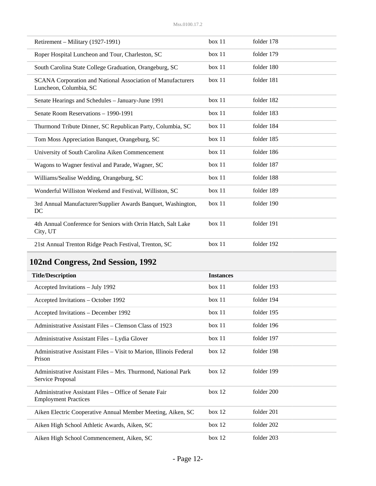| Retirement – Military (1927-1991)                                                     | box 11 | folder 178 |
|---------------------------------------------------------------------------------------|--------|------------|
| Roper Hospital Luncheon and Tour, Charleston, SC                                      | box 11 | folder 179 |
| South Carolina State College Graduation, Orangeburg, SC                               | box 11 | folder 180 |
| SCANA Corporation and National Association of Manufacturers<br>Luncheon, Columbia, SC | box 11 | folder 181 |
| Senate Hearings and Schedules - January-June 1991                                     | box 11 | folder 182 |
| Senate Room Reservations - 1990-1991                                                  | box 11 | folder 183 |
| Thurmond Tribute Dinner, SC Republican Party, Columbia, SC                            | box 11 | folder 184 |
| Tom Moss Appreciation Banquet, Orangeburg, SC                                         | box 11 | folder 185 |
| University of South Carolina Aiken Commencement                                       | box 11 | folder 186 |
| Wagons to Wagner festival and Parade, Wagner, SC                                      | box 11 | folder 187 |
| Williams/Sealise Wedding, Orangeburg, SC                                              | box 11 | folder 188 |
| Wonderful Williston Weekend and Festival, Williston, SC                               | box 11 | folder 189 |
| 3rd Annual Manufacturer/Supplier Awards Banquet, Washington,<br>DC                    | box 11 | folder 190 |
| 4th Annual Conference for Seniors with Orrin Hatch, Salt Lake<br>City, UT             | box 11 | folder 191 |
| 21st Annual Trenton Ridge Peach Festival, Trenton, SC                                 | box 11 | folder 192 |

# **102nd Congress, 2nd Session, 1992**

| <b>Title/Description</b>                                                              | <b>Instances</b> |            |
|---------------------------------------------------------------------------------------|------------------|------------|
| Accepted Invitations - July 1992                                                      | box 11           | folder 193 |
| Accepted Invitations - October 1992                                                   | box 11           | folder 194 |
| Accepted Invitations - December 1992                                                  | box 11           | folder 195 |
| Administrative Assistant Files - Clemson Class of 1923                                | box 11           | folder 196 |
| Administrative Assistant Files - Lydia Glover                                         | box 11           | folder 197 |
| Administrative Assistant Files - Visit to Marion, Illinois Federal<br>Prison          | box 12           | folder 198 |
| Administrative Assistant Files - Mrs. Thurmond, National Park<br>Service Proposal     | box 12           | folder 199 |
| Administrative Assistant Files – Office of Senate Fair<br><b>Employment Practices</b> | box 12           | folder 200 |
| Aiken Electric Cooperative Annual Member Meeting, Aiken, SC                           | box 12           | folder 201 |
| Aiken High School Athletic Awards, Aiken, SC                                          | box 12           | folder 202 |
| Aiken High School Commencement, Aiken, SC                                             | box 12           | folder 203 |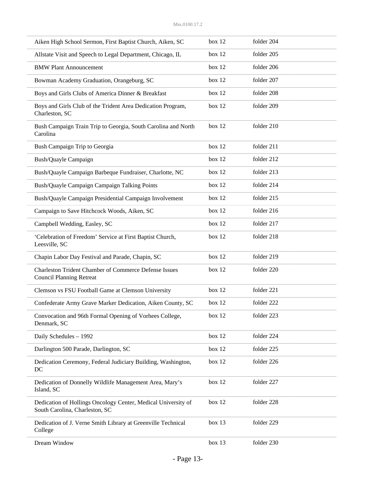| Aiken High School Sermon, First Baptist Church, Aiken, SC                                       | box 12   | folder 204 |
|-------------------------------------------------------------------------------------------------|----------|------------|
| Allstate Visit and Speech to Legal Department, Chicago, IL                                      | box 12   | folder 205 |
| <b>BMW Plant Announcement</b>                                                                   | box 12   | folder 206 |
| Bowman Academy Graduation, Orangeburg, SC                                                       | box 12   | folder 207 |
| Boys and Girls Clubs of America Dinner & Breakfast                                              | box 12   | folder 208 |
| Boys and Girls Club of the Trident Area Dedication Program,<br>Charleston, SC                   | box 12   | folder 209 |
| Bush Campaign Train Trip to Georgia, South Carolina and North<br>Carolina                       | box 12   | folder 210 |
| Bush Campaign Trip to Georgia                                                                   | box 12   | folder 211 |
| Bush/Quayle Campaign                                                                            | box 12   | folder 212 |
| Bush/Quayle Campaign Barbeque Fundraiser, Charlotte, NC                                         | box 12   | folder 213 |
| Bush/Quayle Campaign Campaign Talking Points                                                    | box 12   | folder 214 |
| Bush/Quayle Campaign Presidential Campaign Involvement                                          | box 12   | folder 215 |
| Campaign to Save Hitchcock Woods, Aiken, SC                                                     | box 12   | folder 216 |
| Campbell Wedding, Easley, SC                                                                    | box 12   | folder 217 |
| 'Celebration of Freedom' Service at First Baptist Church,<br>Leesville, SC                      | box 12   | folder 218 |
| Chapin Labor Day Festival and Parade, Chapin, SC                                                | box 12   | folder 219 |
| <b>Charleston Trident Chamber of Commerce Defense Issues</b><br><b>Council Planning Retreat</b> | box 12   | folder 220 |
| Clemson vs FSU Football Game at Clemson University                                              | box 12   | folder 221 |
| Confederate Army Grave Marker Dedication, Aiken County, SC                                      | box $12$ | folder 222 |
| Convocation and 96th Formal Opening of Vorhees College,<br>Denmark, SC                          | box 12   | folder 223 |
| Daily Schedules - 1992                                                                          | box 12   | folder 224 |
| Darlington 500 Parade, Darlington, SC                                                           | box 12   | folder 225 |
| Dedication Ceremony, Federal Judiciary Building, Washington,<br>DC                              | box 12   | folder 226 |
| Dedication of Donnelly Wildlife Management Area, Mary's<br>Island, SC                           | box 12   | folder 227 |
| Dedication of Hollings Oncology Center, Medical University of<br>South Carolina, Charleston, SC | box 12   | folder 228 |
| Dedication of J. Verne Smith Library at Greenville Technical<br>College                         | box 13   | folder 229 |
| Dream Window                                                                                    | box 13   | folder 230 |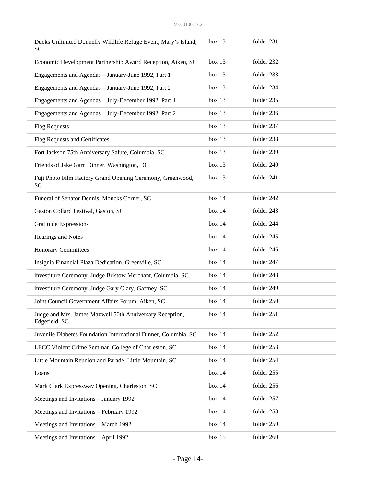| Ducks Unlimited Donnelly Wildlife Refuge Event, Mary's Island,<br><b>SC</b> | box 13 | folder 231 |
|-----------------------------------------------------------------------------|--------|------------|
| Economic Development Partnership Award Reception, Aiken, SC                 | box 13 | folder 232 |
| Engagements and Agendas - January-June 1992, Part 1                         | box 13 | folder 233 |
| Engagements and Agendas - January-June 1992, Part 2                         | box 13 | folder 234 |
| Engagements and Agendas - July-December 1992, Part 1                        | box 13 | folder 235 |
| Engagements and Agendas - July-December 1992, Part 2                        | box 13 | folder 236 |
| <b>Flag Requests</b>                                                        | box 13 | folder 237 |
| Flag Requests and Certificates                                              | box 13 | folder 238 |
| Fort Jackson 75th Anniversary Salute, Columbia, SC                          | box 13 | folder 239 |
| Friends of Jake Garn Dinner, Washington, DC                                 | box 13 | folder 240 |
| Fuji Photo Film Factory Grand Opening Ceremony, Greenwood,<br><b>SC</b>     | box 13 | folder 241 |
| Funeral of Senator Dennis, Moncks Corner, SC                                | box 14 | folder 242 |
| Gaston Collard Festival, Gaston, SC                                         | box 14 | folder 243 |
| <b>Gratitude Expressions</b>                                                | box 14 | folder 244 |
| Hearings and Notes                                                          | box 14 | folder 245 |
| <b>Honorary Committees</b>                                                  | box 14 | folder 246 |
| Insignia Financial Plaza Dedication, Greenville, SC                         | box 14 | folder 247 |
| investiture Ceremony, Judge Bristow Merchant, Columbia, SC                  | box 14 | folder 248 |
| investiture Ceremony, Judge Gary Clary, Gaffney, SC                         | box 14 | folder 249 |
| Joint Council Government Affairs Forum, Aiken, SC                           | box 14 | folder 250 |
| Judge and Mrs. James Maxwell 50th Anniversary Reception,<br>Edgefield, SC   | box 14 | folder 251 |
| Juvenile Diabetes Foundation International Dinner, Columbia, SC             | box 14 | folder 252 |
| LECC Violent Crime Seminar, College of Charleston, SC                       | box 14 | folder 253 |
| Little Mountain Reunion and Parade, Little Mountain, SC                     | box 14 | folder 254 |
| Loans                                                                       | box 14 | folder 255 |
| Mark Clark Expressway Opening, Charleston, SC                               | box 14 | folder 256 |
| Meetings and Invitations - January 1992                                     | box 14 | folder 257 |
| Meetings and Invitations - February 1992                                    | box 14 | folder 258 |
| Meetings and Invitations - March 1992                                       | box 14 | folder 259 |
| Meetings and Invitations - April 1992                                       | box 15 | folder 260 |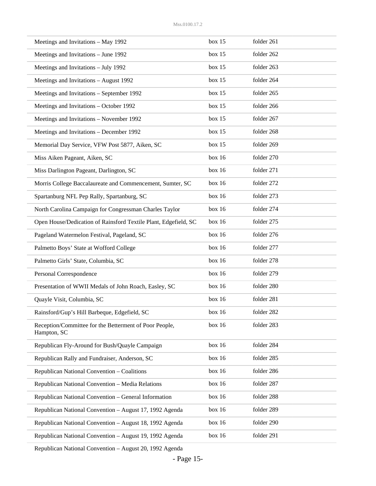| Meetings and Invitations - May 1992                                   | box 15 | folder 261 |
|-----------------------------------------------------------------------|--------|------------|
| Meetings and Invitations - June 1992                                  | box 15 | folder 262 |
| Meetings and Invitations - July 1992                                  | box 15 | folder 263 |
| Meetings and Invitations - August 1992                                | box 15 | folder 264 |
| Meetings and Invitations - September 1992                             | box 15 | folder 265 |
| Meetings and Invitations - October 1992                               | box 15 | folder 266 |
| Meetings and Invitations - November 1992                              | box 15 | folder 267 |
| Meetings and Invitations - December 1992                              | box 15 | folder 268 |
| Memorial Day Service, VFW Post 5877, Aiken, SC                        | box 15 | folder 269 |
| Miss Aiken Pageant, Aiken, SC                                         | box 16 | folder 270 |
| Miss Darlington Pageant, Darlington, SC                               | box 16 | folder 271 |
| Morris College Baccalaureate and Commencement, Sumter, SC             | box 16 | folder 272 |
| Spartanburg NFL Pep Rally, Spartanburg, SC                            | box 16 | folder 273 |
| North Carolina Campaign for Congressman Charles Taylor                | box 16 | folder 274 |
| Open House/Dedication of Rainsford Textile Plant, Edgefield, SC       | box 16 | folder 275 |
| Pageland Watermelon Festival, Pageland, SC                            | box 16 | folder 276 |
| Palmetto Boys' State at Wofford College                               | box 16 | folder 277 |
| Palmetto Girls' State, Columbia, SC                                   | box 16 | folder 278 |
| Personal Correspondence                                               | box 16 | folder 279 |
| Presentation of WWII Medals of John Roach, Easley, SC                 | box 16 | folder 280 |
| Quayle Visit, Columbia, SC                                            | box 16 | folder 281 |
| Rainsford/Gup's Hill Barbeque, Edgefield, SC                          | box 16 | folder 282 |
| Reception/Committee for the Betterment of Poor People,<br>Hampton, SC | box 16 | folder 283 |
| Republican Fly-Around for Bush/Quayle Campaign                        | box 16 | folder 284 |
| Republican Rally and Fundraiser, Anderson, SC                         | box 16 | folder 285 |
| Republican National Convention - Coalitions                           | box 16 | folder 286 |
| Republican National Convention - Media Relations                      | box 16 | folder 287 |
| Republican National Convention - General Information                  | box 16 | folder 288 |
| Republican National Convention - August 17, 1992 Agenda               | box 16 | folder 289 |
| Republican National Convention - August 18, 1992 Agenda               | box 16 | folder 290 |
| Republican National Convention - August 19, 1992 Agenda               | box 16 | folder 291 |

Republican National Convention – August 20, 1992 Agenda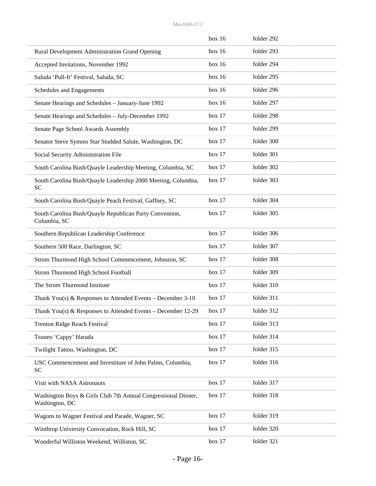|                                                                                 | box 16 | folder 292 |
|---------------------------------------------------------------------------------|--------|------------|
| Rural Development Administration Grand Opening                                  | box 16 | folder 293 |
| Accepted Invitations, November 1992                                             | box 16 | folder 294 |
| Saluda 'Pull-It' Festival, Saluda, SC                                           | box 16 | folder 295 |
| Schedules and Engagements                                                       | box 16 | folder 296 |
| Senate Hearings and Schedules - January-June 1992                               | box 16 | folder 297 |
| Senate Hearings and Schedules - July-December 1992                              | box 17 | folder 298 |
| Senate Page School Awards Assembly                                              | box 17 | folder 299 |
| Senator Steve Symms Star Studded Salute, Washington, DC                         | box 17 | folder 300 |
| Social Security Administration File                                             | box 17 | folder 301 |
| South Carolina Bush/Quayle Leadership Meeting, Columbia, SC                     | box 17 | folder 302 |
| South Carolina Bush/Quayle Leadership 2000 Meeting, Columbia,<br>SC             | box 17 | folder 303 |
| South Carolina Bush/Quayle Peach Festival, Gaffney, SC                          | box 17 | folder 304 |
| South Carolina Bush/Quayle Republican Party Convention,<br>Columbia, SC         | box 17 | folder 305 |
| Southern Republican Leadership Conference                                       | box 17 | folder 306 |
| Southern 500 Race, Darlington, SC                                               | box 17 | folder 307 |
| Strom Thurmond High School Commencement, Johnston, SC                           | box 17 | folder 308 |
| Strom Thurmond High School Football                                             | box 17 | folder 309 |
| The Strom Thurmond Institute                                                    | box 17 | folder 310 |
| Thank You(s) & Responses to Attended Events - December 3-10                     | box 17 | folder 311 |
| Thank You(s) & Responses to Attended Events - December 12-29                    | box 17 | folder 312 |
| Trenton Ridge Reach Festival                                                    | box 17 | folder 313 |
| Tsuneo 'Cappy' Harada                                                           | box 17 | folder 314 |
| Twilight Tattoo, Washington, DC                                                 | box 17 | folder 315 |
| USC Commencement and Investiture of John Palms, Columbia,<br>SC                 | box 17 | folder 316 |
| Visit with NASA Astronauts                                                      | box 17 | folder 317 |
| Washington Boys & Girls Club 7th Annual Congressional Dinner,<br>Washington, DC | box 17 | folder 318 |
| Wagons to Wagner Festival and Parade, Wagner, SC                                | box 17 | folder 319 |
| Winthrop University Convocation, Rock Hill, SC                                  | box 17 | folder 320 |
| Wonderful Williston Weekend, Williston, SC                                      | box 17 | folder 321 |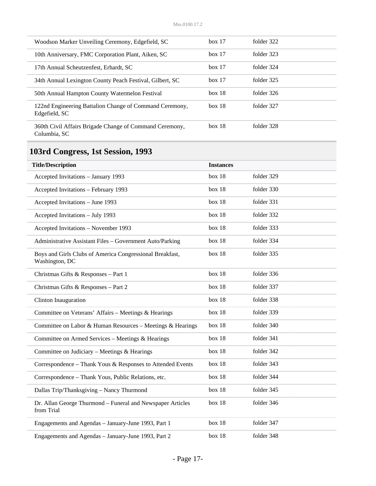| Woodson Marker Unveiling Ceremony, Edgefield, SC                         | box 17 | folder 322 |
|--------------------------------------------------------------------------|--------|------------|
| 10th Anniversary, FMC Corporation Plant, Aiken, SC                       | box 17 | folder 323 |
| 17th Annual Scheutzenfest, Erhardt, SC                                   | box 17 | folder 324 |
| 34th Annual Lexington County Peach Festival, Gilbert, SC                 | box 17 | folder 325 |
| 50th Annual Hampton County Watermelon Festival                           | box 18 | folder 326 |
| 122nd Engineering Battalion Change of Command Ceremony,<br>Edgefield, SC | box 18 | folder 327 |
| 360th Civil Affairs Brigade Change of Command Ceremony,<br>Columbia, SC  | box 18 | folder 328 |

| <b>Title/Description</b>                                                   | <b>Instances</b> |            |
|----------------------------------------------------------------------------|------------------|------------|
| Accepted Invitations - January 1993                                        | box 18           | folder 329 |
| Accepted Invitations - February 1993                                       | box 18           | folder 330 |
| Accepted Invitations - June 1993                                           | box 18           | folder 331 |
| Accepted Invitations - July 1993                                           | box 18           | folder 332 |
| Accepted Invitations - November 1993                                       | box 18           | folder 333 |
| Administrative Assistant Files - Government Auto/Parking                   | box 18           | folder 334 |
| Boys and Girls Clubs of America Congressional Breakfast,<br>Washington, DC | box 18           | folder 335 |
| Christmas Gifts & Responses - Part 1                                       | box 18           | folder 336 |
| Christmas Gifts & Responses - Part 2                                       | box 18           | folder 337 |
| Clinton Inauguration                                                       | box 18           | folder 338 |
| Committee on Veterans' Affairs - Meetings & Hearings                       | box 18           | folder 339 |
| Committee on Labor & Human Resources - Meetings & Hearings                 | box 18           | folder 340 |
| Committee on Armed Services - Meetings & Hearings                          | box 18           | folder 341 |
| Committee on Judiciary - Meetings & Hearings                               | box 18           | folder 342 |
| Correspondence - Thank Yous & Responses to Attended Events                 | box 18           | folder 343 |
| Correspondence - Thank Yous, Public Relations, etc.                        | box 18           | folder 344 |
| Dallas Trip/Thanksgiving - Nancy Thurmond                                  | box 18           | folder 345 |
| Dr. Allan George Thurmond - Funeral and Newspaper Articles<br>from Trial   | box 18           | folder 346 |
| Engagements and Agendas - January-June 1993, Part 1                        | box 18           | folder 347 |
| Engagements and Agendas - January-June 1993, Part 2                        | box 18           | folder 348 |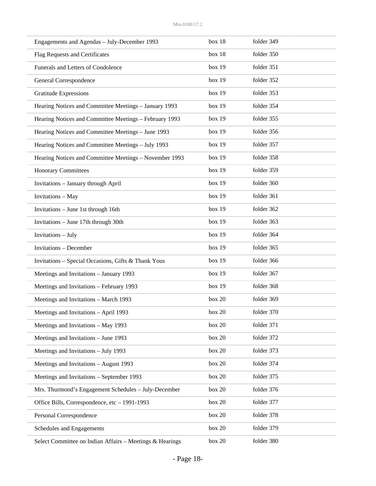| Engagements and Agendas - July-December 1993             | box 18 | folder 349 |
|----------------------------------------------------------|--------|------------|
| Flag Requests and Certificates                           | box 18 | folder 350 |
| Funerals and Letters of Condolence                       | box 19 | folder 351 |
| General Correspondence                                   | box 19 | folder 352 |
| <b>Gratitude Expressions</b>                             | box 19 | folder 353 |
| Hearing Notices and Committee Meetings - January 1993    | box 19 | folder 354 |
| Hearing Notices and Committee Meetings - February 1993   | box 19 | folder 355 |
| Hearing Notices and Committee Meetings - June 1993       | box 19 | folder 356 |
| Hearing Notices and Committee Meetings - July 1993       | box 19 | folder 357 |
| Hearing Notices and Committee Meetings - November 1993   | box 19 | folder 358 |
| <b>Honorary Committees</b>                               | box 19 | folder 359 |
| <b>Invitations - January through April</b>               | box 19 | folder 360 |
| <b>Invitations</b> - May                                 | box 19 | folder 361 |
| Invitations - June 1st through 16th                      | box 19 | folder 362 |
| Invitations - June 17th through 30th                     | box 19 | folder 363 |
| Invitations - July                                       | box 19 | folder 364 |
| <b>Invitations - December</b>                            | box 19 | folder 365 |
| Invitations - Special Occasions, Gifts & Thank Yous      | box 19 | folder 366 |
| Meetings and Invitations - January 1993                  | box 19 | folder 367 |
| Meetings and Invitations - February 1993                 | box 19 | folder 368 |
| Meetings and Invitations - March 1993                    | box 20 | folder 369 |
| Meetings and Invitations - April 1993                    | box 20 | folder 370 |
| Meetings and Invitations - May 1993                      | box 20 | folder 371 |
| Meetings and Invitations - June 1993                     | box 20 | folder 372 |
| Meetings and Invitations - July 1993                     | box 20 | folder 373 |
| Meetings and Invitations - August 1993                   | box 20 | folder 374 |
| Meetings and Invitations - September 1993                | box 20 | folder 375 |
| Mrs. Thurmond's Engagement Schedules - July-December     | box 20 | folder 376 |
| Office Bills, Correspondence, etc - 1991-1993            | box 20 | folder 377 |
| Personal Correspondence                                  | box 20 | folder 378 |
| Schedules and Engagements                                | box 20 | folder 379 |
| Select Committee on Indian Affairs - Meetings & Hearings | box 20 | folder 380 |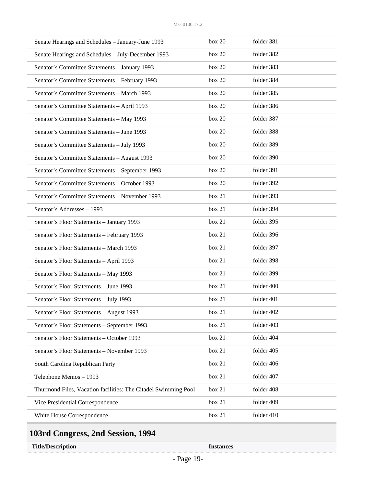| Senate Hearings and Schedules - January-June 1993              | box 20 | folder 381 |
|----------------------------------------------------------------|--------|------------|
| Senate Hearings and Schedules - July-December 1993             | box 20 | folder 382 |
| Senator's Committee Statements - January 1993                  | box 20 | folder 383 |
| Senator's Committee Statements - February 1993                 | box 20 | folder 384 |
| Senator's Committee Statements - March 1993                    | box 20 | folder 385 |
| Senator's Committee Statements - April 1993                    | box 20 | folder 386 |
| Senator's Committee Statements - May 1993                      | box 20 | folder 387 |
| Senator's Committee Statements - June 1993                     | box 20 | folder 388 |
| Senator's Committee Statements - July 1993                     | box 20 | folder 389 |
| Senator's Committee Statements - August 1993                   | box 20 | folder 390 |
| Senator's Committee Statements - September 1993                | box 20 | folder 391 |
| Senator's Committee Statements - October 1993                  | box 20 | folder 392 |
| Senator's Committee Statements - November 1993                 | box 21 | folder 393 |
| Senator's Addresses - 1993                                     | box 21 | folder 394 |
| Senator's Floor Statements - January 1993                      | box 21 | folder 395 |
| Senator's Floor Statements - February 1993                     | box 21 | folder 396 |
| Senator's Floor Statements - March 1993                        | box 21 | folder 397 |
| Senator's Floor Statements - April 1993                        | box 21 | folder 398 |
| Senator's Floor Statements - May 1993                          | box 21 | folder 399 |
| Senator's Floor Statements - June 1993                         | box 21 | folder 400 |
| Senator's Floor Statements - July 1993                         | box 21 | folder 401 |
| Senator's Floor Statements - August 1993                       | box 21 | folder 402 |
| Senator's Floor Statements - September 1993                    | box 21 | folder 403 |
| Senator's Floor Statements - October 1993                      | box 21 | folder 404 |
| Senator's Floor Statements - November 1993                     | box 21 | folder 405 |
| South Carolina Republican Party                                | box 21 | folder 406 |
| Telephone Memos - 1993                                         | box 21 | folder 407 |
| Thurmond Files, Vacation facilities: The Citadel Swimming Pool | box 21 | folder 408 |
| Vice Presidential Correspondence                               | box 21 | folder 409 |
| White House Correspondence                                     | box 21 | folder 410 |

## **103rd Congress, 2nd Session, 1994**

**Title/Description Instances**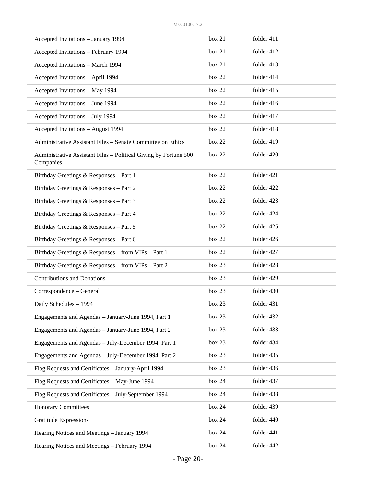| Accepted Invitations - January 1994                                           | box 21 | folder 411 |
|-------------------------------------------------------------------------------|--------|------------|
| Accepted Invitations - February 1994                                          | box 21 | folder 412 |
| Accepted Invitations - March 1994                                             | box 21 | folder 413 |
| Accepted Invitations - April 1994                                             | box 22 | folder 414 |
| Accepted Invitations - May 1994                                               | box 22 | folder 415 |
| Accepted Invitations - June 1994                                              | box 22 | folder 416 |
| Accepted Invitations - July 1994                                              | box 22 | folder 417 |
| Accepted Invitations - August 1994                                            | box 22 | folder 418 |
| Administrative Assistant Files – Senate Committee on Ethics                   | box 22 | folder 419 |
| Administrative Assistant Files - Political Giving by Fortune 500<br>Companies | box 22 | folder 420 |
| Birthday Greetings & Responses - Part 1                                       | box 22 | folder 421 |
| Birthday Greetings & Responses - Part 2                                       | box 22 | folder 422 |
| Birthday Greetings & Responses - Part 3                                       | box 22 | folder 423 |
| Birthday Greetings & Responses - Part 4                                       | box 22 | folder 424 |
| Birthday Greetings & Responses - Part 5                                       | box 22 | folder 425 |
| Birthday Greetings & Responses - Part 6                                       | box 22 | folder 426 |
| Birthday Greetings & Responses - from VIPs - Part 1                           | box 22 | folder 427 |
| Birthday Greetings & Responses - from VIPs - Part 2                           | box 23 | folder 428 |
| <b>Contributions and Donations</b>                                            | box 23 | folder 429 |
| Correspondence - General                                                      | box 23 | folder 430 |
| Daily Schedules - 1994                                                        | box 23 | folder 431 |
| Engagements and Agendas - January-June 1994, Part 1                           | box 23 | folder 432 |
| Engagements and Agendas - January-June 1994, Part 2                           | box 23 | folder 433 |
| Engagements and Agendas - July-December 1994, Part 1                          | box 23 | folder 434 |
| Engagements and Agendas - July-December 1994, Part 2                          | box 23 | folder 435 |
| Flag Requests and Certificates - January-April 1994                           | box 23 | folder 436 |
| Flag Requests and Certificates - May-June 1994                                | box 24 | folder 437 |
| Flag Requests and Certificates - July-September 1994                          | box 24 | folder 438 |
| <b>Honorary Committees</b>                                                    | box 24 | folder 439 |
| <b>Gratitude Expressions</b>                                                  | box 24 | folder 440 |
| Hearing Notices and Meetings - January 1994                                   | box 24 | folder 441 |
| Hearing Notices and Meetings - February 1994                                  | box 24 | folder 442 |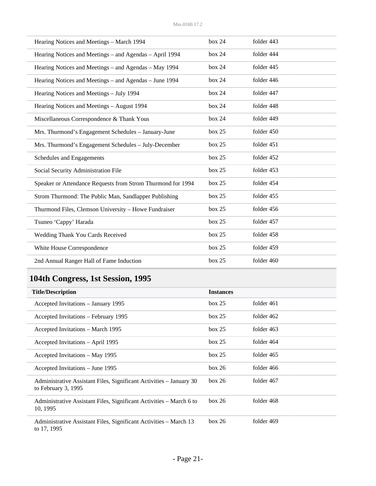| Hearing Notices and Meetings - March 1994                   | box 24 | folder 443 |
|-------------------------------------------------------------|--------|------------|
| Hearing Notices and Meetings – and Agendas – April 1994     | box 24 | folder 444 |
| Hearing Notices and Meetings – and Agendas – May 1994       | box 24 | folder 445 |
| Hearing Notices and Meetings – and Agendas – June 1994      | box 24 | folder 446 |
| Hearing Notices and Meetings - July 1994                    | box 24 | folder 447 |
| Hearing Notices and Meetings - August 1994                  | box 24 | folder 448 |
| Miscellaneous Correspondence & Thank Yous                   | box 24 | folder 449 |
| Mrs. Thurmond's Engagement Schedules - January-June         | box 25 | folder 450 |
| Mrs. Thurmond's Engagement Schedules - July-December        | box 25 | folder 451 |
| Schedules and Engagements                                   | box 25 | folder 452 |
| Social Security Administration File                         | box 25 | folder 453 |
| Speaker or Attendance Requests from Strom Thurmond for 1994 | box 25 | folder 454 |
| Strom Thurmond: The Public Man, Sandlapper Publishing       | box 25 | folder 455 |
| Thurmond Files, Clemson University - Howe Fundraiser        | box 25 | folder 456 |
| Tsuneo 'Cappy' Harada                                       | box 25 | folder 457 |
| Wedding Thank You Cards Received                            | box 25 | folder 458 |
| White House Correspondence                                  | box 25 | folder 459 |
| 2nd Annual Ranger Hall of Fame Induction                    | box 25 | folder 460 |

| <b>Title/Description</b>                                                                   | <b>Instances</b> |            |
|--------------------------------------------------------------------------------------------|------------------|------------|
| Accepted Invitations – January 1995                                                        | box 25           | folder 461 |
| Accepted Invitations – February 1995                                                       | box 25           | folder 462 |
| Accepted Invitations – March 1995                                                          | box 25           | folder 463 |
| Accepted Invitations – April 1995                                                          | box 25           | folder 464 |
| Accepted Invitations – May 1995                                                            | box 25           | folder 465 |
| Accepted Invitations – June 1995                                                           | box 26           | folder 466 |
| Administrative Assistant Files, Significant Activities – January 30<br>to February 3, 1995 | box 26           | folder 467 |
| Administrative Assistant Files, Significant Activities – March 6 to<br>10, 1995            | box 26           | folder 468 |
| Administrative Assistant Files, Significant Activities – March 13<br>to 17, 1995           | box 26           | folder 469 |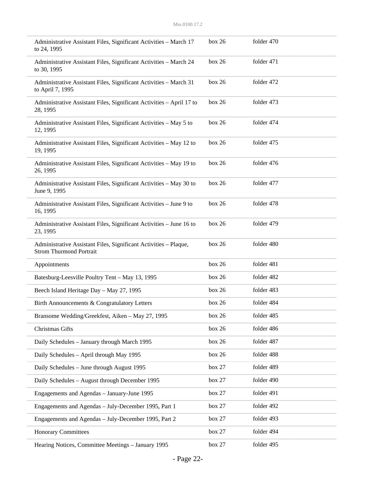| Administrative Assistant Files, Significant Activities - March 17<br>to 24, 1995                   | box 26 | folder 470 |
|----------------------------------------------------------------------------------------------------|--------|------------|
| Administrative Assistant Files, Significant Activities - March 24<br>to 30, 1995                   | box 26 | folder 471 |
| Administrative Assistant Files, Significant Activities - March 31<br>to April 7, 1995              | box 26 | folder 472 |
| Administrative Assistant Files, Significant Activities - April 17 to<br>28, 1995                   | box 26 | folder 473 |
| Administrative Assistant Files, Significant Activities - May 5 to<br>12, 1995                      | box 26 | folder 474 |
| Administrative Assistant Files, Significant Activities - May 12 to<br>19, 1995                     | box 26 | folder 475 |
| Administrative Assistant Files, Significant Activities - May 19 to<br>26, 1995                     | box 26 | folder 476 |
| Administrative Assistant Files, Significant Activities - May 30 to<br>June 9, 1995                 | box 26 | folder 477 |
| Administrative Assistant Files, Significant Activities - June 9 to<br>16, 1995                     | box 26 | folder 478 |
| Administrative Assistant Files, Significant Activities - June 16 to<br>23, 1995                    | box 26 | folder 479 |
| Administrative Assistant Files, Significant Activities - Plaque,<br><b>Strom Thurmond Portrait</b> | box 26 | folder 480 |
| Appointments                                                                                       | box 26 | folder 481 |
| Batesburg-Leesville Poultry Tent - May 13, 1995                                                    | box 26 | folder 482 |
| Beech Island Heritage Day - May 27, 1995                                                           | box 26 | folder 483 |
| Birth Announcements & Congratulatory Letters                                                       | box 26 | folder 484 |
| Bransome Wedding/Greekfest, Aiken - May 27, 1995                                                   | box 26 | folder 485 |
| Christmas Gifts                                                                                    | box 26 | folder 486 |
| Daily Schedules - January through March 1995                                                       | box 26 | folder 487 |
| Daily Schedules - April through May 1995                                                           | box 26 | folder 488 |
| Daily Schedules - June through August 1995                                                         | box 27 | folder 489 |
| Daily Schedules - August through December 1995                                                     | box 27 | folder 490 |
| Engagements and Agendas - January-June 1995                                                        | box 27 | folder 491 |
| Engagements and Agendas - July-December 1995, Part 1                                               | box 27 | folder 492 |
| Engagements and Agendas - July-December 1995, Part 2                                               | box 27 | folder 493 |
| <b>Honorary Committees</b>                                                                         | box 27 | folder 494 |
| Hearing Notices, Committee Meetings - January 1995                                                 | box 27 | folder 495 |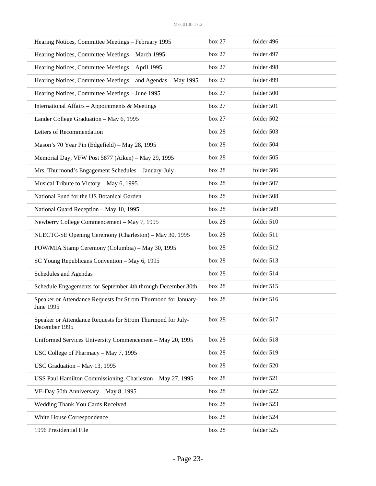| Hearing Notices, Committee Meetings - February 1995                          | box 27 | folder 496 |
|------------------------------------------------------------------------------|--------|------------|
| Hearing Notices, Committee Meetings - March 1995                             | box 27 | folder 497 |
| Hearing Notices, Committee Meetings - April 1995                             | box 27 | folder 498 |
| Hearing Notices, Committee Meetings – and Agendas – May 1995                 | box 27 | folder 499 |
| Hearing Notices, Committee Meetings - June 1995                              | box 27 | folder 500 |
| International Affairs - Appointments & Meetings                              | box 27 | folder 501 |
| Lander College Graduation - May 6, 1995                                      | box 27 | folder 502 |
| Letters of Recommendation                                                    | box 28 | folder 503 |
| Mason's 70 Year Pin (Edgefield) - May 28, 1995                               | box 28 | folder 504 |
| Memorial Day, VFW Post 5877 (Aiken) - May 29, 1995                           | box 28 | folder 505 |
| Mrs. Thurmond's Engagement Schedules - January-July                          | box 28 | folder 506 |
| Musical Tribute to Victory – May 6, 1995                                     | box 28 | folder 507 |
| National Fund for the US Botanical Garden                                    | box 28 | folder 508 |
| National Guard Reception - May 10, 1995                                      | box 28 | folder 509 |
| Newberry College Commencement - May 7, 1995                                  | box 28 | folder 510 |
| NLECTC-SE Opening Ceremony (Charleston) - May 30, 1995                       | box 28 | folder 511 |
| POW/MIA Stamp Ceremony (Columbia) - May 30, 1995                             | box 28 | folder 512 |
| SC Young Republicans Convention - May 6, 1995                                | box 28 | folder 513 |
| Schedules and Agendas                                                        | box 28 | folder 514 |
| Schedule Engagements for September 4th through December 30th                 | box 28 | folder 515 |
| Speaker or Attendance Requests for Strom Thurmond for January-<br>June 1995  | box 28 | folder 516 |
| Speaker or Attendance Requests for Strom Thurmond for July-<br>December 1995 | box 28 | folder 517 |
| Uniformed Services University Commencement - May 20, 1995                    | box 28 | folder 518 |
| USC College of Pharmacy - May 7, 1995                                        | box 28 | folder 519 |
| USC Graduation - May 13, 1995                                                | box 28 | folder 520 |
| USS Paul Hamilton Commissioning, Charleston - May 27, 1995                   | box 28 | folder 521 |
| VE-Day 50th Anniversary - May 8, 1995                                        | box 28 | folder 522 |
| Wedding Thank You Cards Received                                             | box 28 | folder 523 |
| White House Correspondence                                                   | box 28 | folder 524 |
| 1996 Presidential File                                                       | box 28 | folder 525 |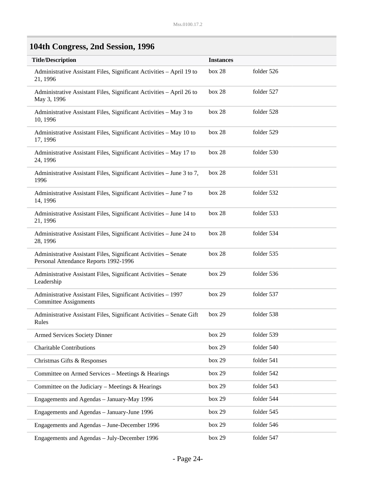| 104th Congress, 2nd Session, 1996 |  |  |  |
|-----------------------------------|--|--|--|
|-----------------------------------|--|--|--|

| <b>Title/Description</b>                                                                                 | <b>Instances</b> |            |
|----------------------------------------------------------------------------------------------------------|------------------|------------|
| Administrative Assistant Files, Significant Activities - April 19 to<br>21, 1996                         | box 28           | folder 526 |
| Administrative Assistant Files, Significant Activities - April 26 to<br>May 3, 1996                      | box 28           | folder 527 |
| Administrative Assistant Files, Significant Activities - May 3 to<br>10, 1996                            | box 28           | folder 528 |
| Administrative Assistant Files, Significant Activities - May 10 to<br>17, 1996                           | box 28           | folder 529 |
| Administrative Assistant Files, Significant Activities - May 17 to<br>24, 1996                           | box 28           | folder 530 |
| Administrative Assistant Files, Significant Activities - June 3 to 7,<br>1996                            | box 28           | folder 531 |
| Administrative Assistant Files, Significant Activities - June 7 to<br>14, 1996                           | box 28           | folder 532 |
| Administrative Assistant Files, Significant Activities - June 14 to<br>21, 1996                          | box 28           | folder 533 |
| Administrative Assistant Files, Significant Activities - June 24 to<br>28, 1996                          | box 28           | folder 534 |
| Administrative Assistant Files, Significant Activities - Senate<br>Personal Attendance Reports 1992-1996 | box 28           | folder 535 |
| Administrative Assistant Files, Significant Activities - Senate<br>Leadership                            | box 29           | folder 536 |
| Administrative Assistant Files, Significant Activities - 1997<br><b>Committee Assignments</b>            | box 29           | folder 537 |
| Administrative Assistant Files, Significant Activities - Senate Gift<br>Rules                            | box 29           | folder 538 |
| Armed Services Society Dinner                                                                            | box 29           | folder 539 |
| <b>Charitable Contributions</b>                                                                          | box 29           | folder 540 |
| Christmas Gifts & Responses                                                                              | box 29           | folder 541 |
| Committee on Armed Services - Meetings & Hearings                                                        | box 29           | folder 542 |
| Committee on the Judiciary - Meetings & Hearings                                                         | box 29           | folder 543 |
| Engagements and Agendas - January-May 1996                                                               | box 29           | folder 544 |
| Engagements and Agendas - January-June 1996                                                              | box 29           | folder 545 |
| Engagements and Agendas - June-December 1996                                                             | box 29           | folder 546 |
| Engagements and Agendas - July-December 1996                                                             | box 29           | folder 547 |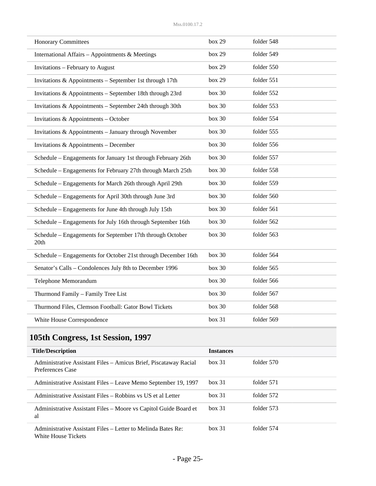| <b>Honorary Committees</b>                                        | box 29 | folder 548 |
|-------------------------------------------------------------------|--------|------------|
| International Affairs - Appointments & Meetings                   | box 29 | folder 549 |
| Invitations - February to August                                  | box 29 | folder 550 |
| Invitations & Appointments - September 1st through 17th           | box 29 | folder 551 |
| Invitations & Appointments - September 18th through 23rd          | box 30 | folder 552 |
| Invitations & Appointments – September 24th through 30th          | box 30 | folder 553 |
| Invitations & Appointments - October                              | box 30 | folder 554 |
| Invitations & Appointments - January through November             | box 30 | folder 555 |
| Invitations & Appointments - December                             | box 30 | folder 556 |
| Schedule - Engagements for January 1st through February 26th      | box 30 | folder 557 |
| Schedule - Engagements for February 27th through March 25th       | box 30 | folder 558 |
| Schedule – Engagements for March 26th through April 29th          | box 30 | folder 559 |
| Schedule - Engagements for April 30th through June 3rd            | box 30 | folder 560 |
| Schedule – Engagements for June 4th through July 15th             | box 30 | folder 561 |
| Schedule – Engagements for July 16th through September 16th       | box 30 | folder 562 |
| Schedule – Engagements for September 17th through October<br>20th | box 30 | folder 563 |
| Schedule - Engagements for October 21st through December 16th     | box 30 | folder 564 |
| Senator's Calls - Condolences July 8th to December 1996           | box 30 | folder 565 |
| Telephone Memorandum                                              | box 30 | folder 566 |
| Thurmond Family - Family Tree List                                | box 30 | folder 567 |
| Thurmond Files, Clemson Football: Gator Bowl Tickets              | box 30 | folder 568 |
| White House Correspondence                                        | box 31 | folder 569 |

| <b>Title/Description</b>                                                                   | <b>Instances</b> |            |
|--------------------------------------------------------------------------------------------|------------------|------------|
| Administrative Assistant Files – Amicus Brief, Piscataway Racial<br>Preferences Case       | box 31           | folder 570 |
| Administrative Assistant Files – Leave Memo September 19, 1997                             | box 31           | folder 571 |
| Administrative Assistant Files – Robbins vs US et al Letter                                | box 31           | folder 572 |
| Administrative Assistant Files – Moore vs Capitol Guide Board et<br>al                     | box 31           | folder 573 |
| Administrative Assistant Files – Letter to Melinda Bates Re:<br><b>White House Tickets</b> | box 31           | folder 574 |